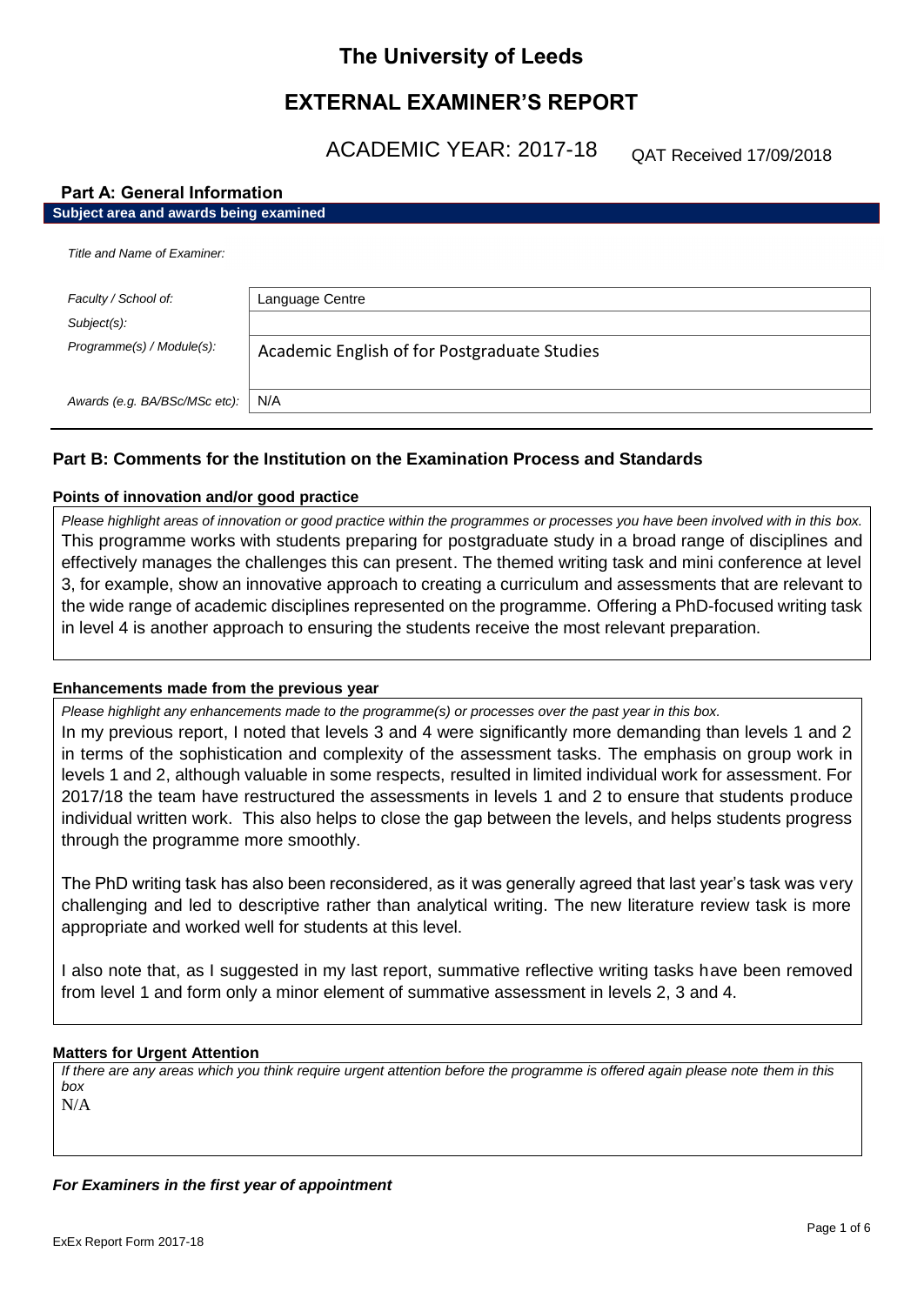# **The University of Leeds**

# **EXTERNAL EXAMINER'S REPORT**

ACADEMIC YEAR: 2017-18

QAT Received 17/09/2018

# **Part A: General Information**

| Subject area and awards being examined |                                              |
|----------------------------------------|----------------------------------------------|
| Title and Name of Examiner:            |                                              |
| Faculty / School of:                   | Language Centre                              |
| Subject(s):                            |                                              |
| Programme(s) / Module(s):              | Academic English of for Postgraduate Studies |
| Awards (e.g. BA/BSc/MSc etc):          | N/A                                          |

# **Part B: Comments for the Institution on the Examination Process and Standards**

# **Points of innovation and/or good practice**

*Please highlight areas of innovation or good practice within the programmes or processes you have been involved with in this box.* This programme works with students preparing for postgraduate study in a broad range of disciplines and effectively manages the challenges this can present. The themed writing task and mini conference at level 3, for example, show an innovative approach to creating a curriculum and assessments that are relevant to the wide range of academic disciplines represented on the programme. Offering a PhD-focused writing task in level 4 is another approach to ensuring the students receive the most relevant preparation.

# **Enhancements made from the previous year**

*Please highlight any enhancements made to the programme(s) or processes over the past year in this box.* In my previous report, I noted that levels 3 and 4 were significantly more demanding than levels 1 and 2 in terms of the sophistication and complexity of the assessment tasks. The emphasis on group work in levels 1 and 2, although valuable in some respects, resulted in limited individual work for assessment. For 2017/18 the team have restructured the assessments in levels 1 and 2 to ensure that students produce individual written work. This also helps to close the gap between the levels, and helps students progress through the programme more smoothly.

The PhD writing task has also been reconsidered, as it was generally agreed that last year's task was very challenging and led to descriptive rather than analytical writing. The new literature review task is more appropriate and worked well for students at this level.

I also note that, as I suggested in my last report, summative reflective writing tasks have been removed from level 1 and form only a minor element of summative assessment in levels 2, 3 and 4.

# **Matters for Urgent Attention**

*If there are any areas which you think require urgent attention before the programme is offered again please note them in this box* N/A

*For Examiners in the first year of appointment*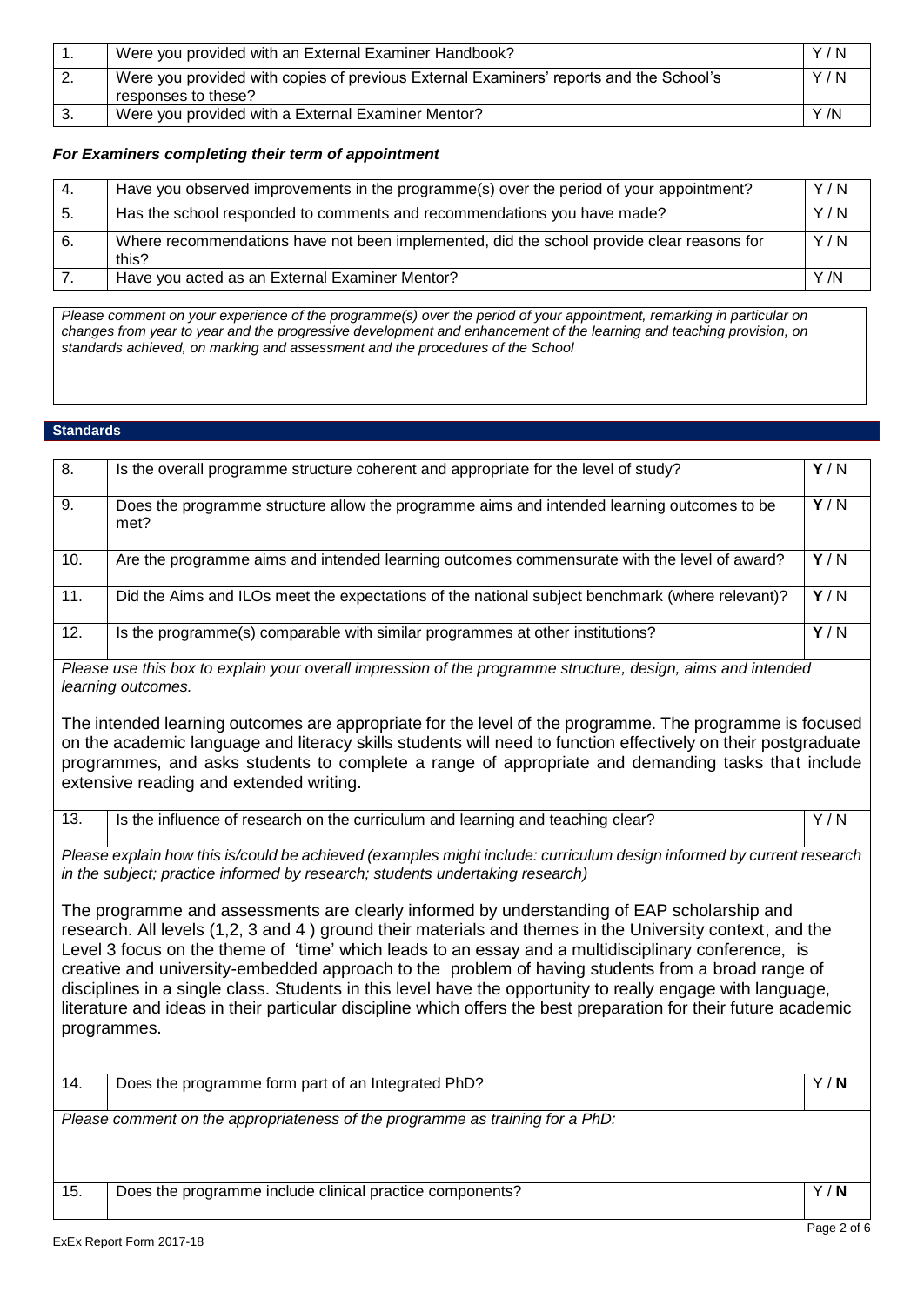|     | Were you provided with an External Examiner Handbook?                                                         | Y/N  |
|-----|---------------------------------------------------------------------------------------------------------------|------|
| -2. | Were you provided with copies of previous External Examiners' reports and the School's<br>responses to these? | Y/N  |
|     | Were you provided with a External Examiner Mentor?                                                            | Y /N |

### *For Examiners completing their term of appointment*

| -4. | Have you observed improvements in the programme(s) over the period of your appointment?            | Y/N  |
|-----|----------------------------------------------------------------------------------------------------|------|
| -5. | Has the school responded to comments and recommendations you have made?                            | Y/N  |
| 6.  | Where recommendations have not been implemented, did the school provide clear reasons for<br>this? | Y/N  |
|     | Have you acted as an External Examiner Mentor?                                                     | Y /N |

*Please comment on your experience of the programme(s) over the period of your appointment, remarking in particular on changes from year to year and the progressive development and enhancement of the learning and teaching provision, on standards achieved, on marking and assessment and the procedures of the School*

### **Standards**

| 8.                                                                                                                                                                                                    | Is the overall programme structure coherent and appropriate for the level of study?                                                                                                                                                                                                                                                                                                                                                                                                                                                                                                                                                                                | $\overline{Y/N}$ |
|-------------------------------------------------------------------------------------------------------------------------------------------------------------------------------------------------------|--------------------------------------------------------------------------------------------------------------------------------------------------------------------------------------------------------------------------------------------------------------------------------------------------------------------------------------------------------------------------------------------------------------------------------------------------------------------------------------------------------------------------------------------------------------------------------------------------------------------------------------------------------------------|------------------|
| 9.                                                                                                                                                                                                    | Does the programme structure allow the programme aims and intended learning outcomes to be<br>met?                                                                                                                                                                                                                                                                                                                                                                                                                                                                                                                                                                 | Y/N              |
| 10.                                                                                                                                                                                                   | Are the programme aims and intended learning outcomes commensurate with the level of award?                                                                                                                                                                                                                                                                                                                                                                                                                                                                                                                                                                        | Y/N              |
| $\overline{11}$ .                                                                                                                                                                                     | Did the Aims and ILOs meet the expectations of the national subject benchmark (where relevant)?                                                                                                                                                                                                                                                                                                                                                                                                                                                                                                                                                                    | Y/N              |
| 12.                                                                                                                                                                                                   | Is the programme(s) comparable with similar programmes at other institutions?                                                                                                                                                                                                                                                                                                                                                                                                                                                                                                                                                                                      | $\overline{Y/N}$ |
|                                                                                                                                                                                                       | Please use this box to explain your overall impression of the programme structure, design, aims and intended<br>learning outcomes.                                                                                                                                                                                                                                                                                                                                                                                                                                                                                                                                 |                  |
|                                                                                                                                                                                                       | The intended learning outcomes are appropriate for the level of the programme. The programme is focused<br>on the academic language and literacy skills students will need to function effectively on their postgraduate<br>programmes, and asks students to complete a range of appropriate and demanding tasks that include<br>extensive reading and extended writing.                                                                                                                                                                                                                                                                                           |                  |
| 13.                                                                                                                                                                                                   | Is the influence of research on the curriculum and learning and teaching clear?                                                                                                                                                                                                                                                                                                                                                                                                                                                                                                                                                                                    | Y/N              |
| Please explain how this is/could be achieved (examples might include: curriculum design informed by current research<br>in the subject; practice informed by research; students undertaking research) |                                                                                                                                                                                                                                                                                                                                                                                                                                                                                                                                                                                                                                                                    |                  |
|                                                                                                                                                                                                       | The programme and assessments are clearly informed by understanding of EAP scholarship and<br>research. All levels (1,2, 3 and 4) ground their materials and themes in the University context, and the<br>Level 3 focus on the theme of 'time' which leads to an essay and a multidisciplinary conference, is<br>creative and university-embedded approach to the problem of having students from a broad range of<br>disciplines in a single class. Students in this level have the opportunity to really engage with language,<br>literature and ideas in their particular discipline which offers the best preparation for their future academic<br>programmes. |                  |
| 14.                                                                                                                                                                                                   | Does the programme form part of an Integrated PhD?                                                                                                                                                                                                                                                                                                                                                                                                                                                                                                                                                                                                                 | $\overline{Y/N}$ |
|                                                                                                                                                                                                       | Please comment on the appropriateness of the programme as training for a PhD:                                                                                                                                                                                                                                                                                                                                                                                                                                                                                                                                                                                      |                  |
| 15.                                                                                                                                                                                                   | Does the programme include clinical practice components?                                                                                                                                                                                                                                                                                                                                                                                                                                                                                                                                                                                                           | Y/N              |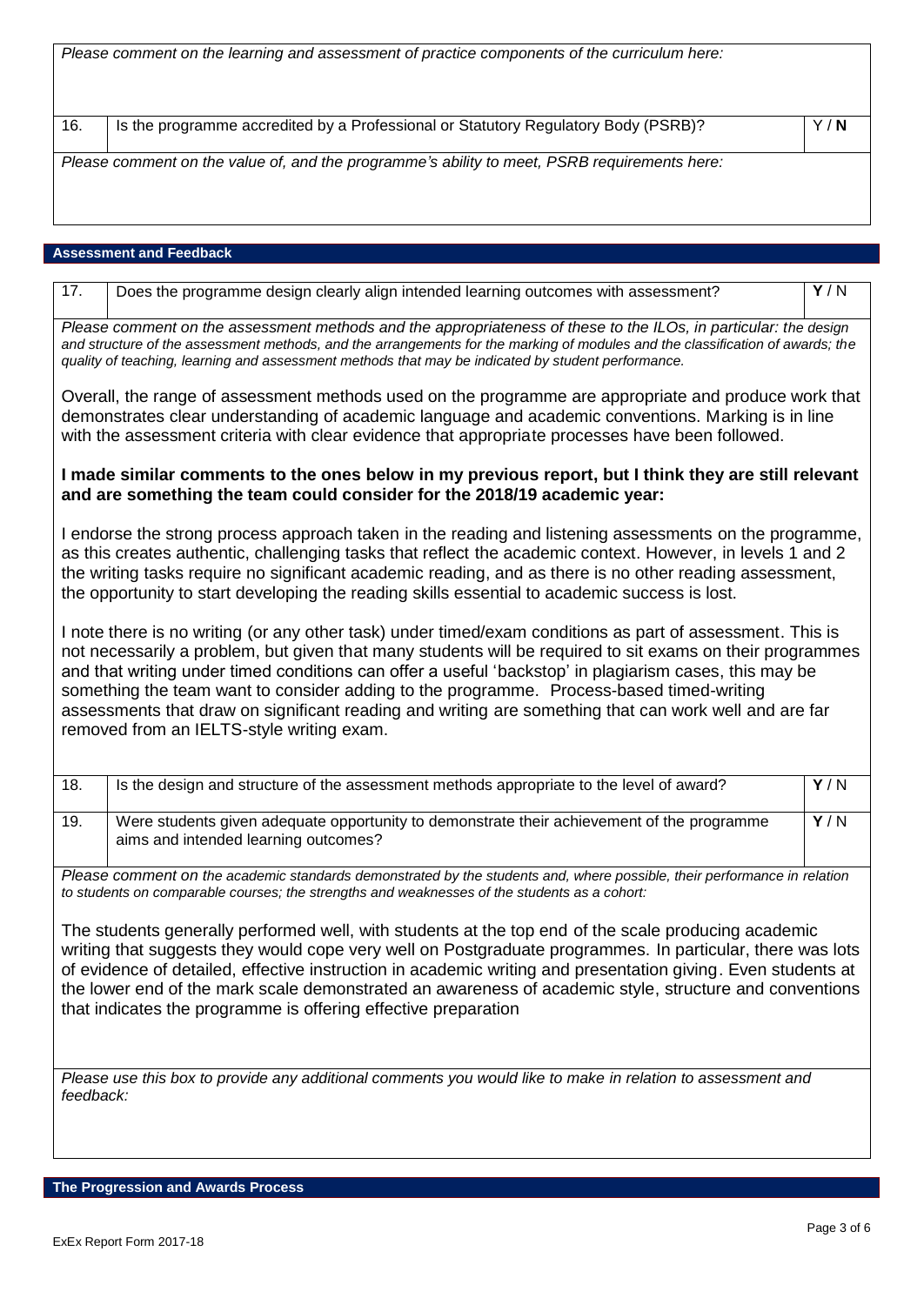|                                                                                                                                                                                                                                                                                                                                                                                                                                                                                                                                                                                    | Please comment on the learning and assessment of practice components of the curriculum here:                                                                                                                                                                                                                                                             |     |
|------------------------------------------------------------------------------------------------------------------------------------------------------------------------------------------------------------------------------------------------------------------------------------------------------------------------------------------------------------------------------------------------------------------------------------------------------------------------------------------------------------------------------------------------------------------------------------|----------------------------------------------------------------------------------------------------------------------------------------------------------------------------------------------------------------------------------------------------------------------------------------------------------------------------------------------------------|-----|
|                                                                                                                                                                                                                                                                                                                                                                                                                                                                                                                                                                                    |                                                                                                                                                                                                                                                                                                                                                          |     |
| 16.                                                                                                                                                                                                                                                                                                                                                                                                                                                                                                                                                                                | Is the programme accredited by a Professional or Statutory Regulatory Body (PSRB)?                                                                                                                                                                                                                                                                       | Y/N |
|                                                                                                                                                                                                                                                                                                                                                                                                                                                                                                                                                                                    | Please comment on the value of, and the programme's ability to meet, PSRB requirements here:                                                                                                                                                                                                                                                             |     |
|                                                                                                                                                                                                                                                                                                                                                                                                                                                                                                                                                                                    |                                                                                                                                                                                                                                                                                                                                                          |     |
|                                                                                                                                                                                                                                                                                                                                                                                                                                                                                                                                                                                    |                                                                                                                                                                                                                                                                                                                                                          |     |
|                                                                                                                                                                                                                                                                                                                                                                                                                                                                                                                                                                                    | <b>Assessment and Feedback</b>                                                                                                                                                                                                                                                                                                                           |     |
| 17.                                                                                                                                                                                                                                                                                                                                                                                                                                                                                                                                                                                | Does the programme design clearly align intended learning outcomes with assessment?                                                                                                                                                                                                                                                                      | Y/N |
|                                                                                                                                                                                                                                                                                                                                                                                                                                                                                                                                                                                    | Please comment on the assessment methods and the appropriateness of these to the ILOs, in particular: the design<br>and structure of the assessment methods, and the arrangements for the marking of modules and the classification of awards; the<br>quality of teaching, learning and assessment methods that may be indicated by student performance. |     |
| Overall, the range of assessment methods used on the programme are appropriate and produce work that<br>demonstrates clear understanding of academic language and academic conventions. Marking is in line<br>with the assessment criteria with clear evidence that appropriate processes have been followed.                                                                                                                                                                                                                                                                      |                                                                                                                                                                                                                                                                                                                                                          |     |
| I made similar comments to the ones below in my previous report, but I think they are still relevant<br>and are something the team could consider for the 2018/19 academic year:                                                                                                                                                                                                                                                                                                                                                                                                   |                                                                                                                                                                                                                                                                                                                                                          |     |
| I endorse the strong process approach taken in the reading and listening assessments on the programme,<br>as this creates authentic, challenging tasks that reflect the academic context. However, in levels 1 and 2<br>the writing tasks require no significant academic reading, and as there is no other reading assessment,<br>the opportunity to start developing the reading skills essential to academic success is lost.                                                                                                                                                   |                                                                                                                                                                                                                                                                                                                                                          |     |
| I note there is no writing (or any other task) under timed/exam conditions as part of assessment. This is<br>not necessarily a problem, but given that many students will be required to sit exams on their programmes<br>and that writing under timed conditions can offer a useful 'backstop' in plagiarism cases, this may be<br>something the team want to consider adding to the programme. Process-based timed-writing<br>assessments that draw on significant reading and writing are something that can work well and are far<br>removed from an IELTS-style writing exam. |                                                                                                                                                                                                                                                                                                                                                          |     |
| 18.                                                                                                                                                                                                                                                                                                                                                                                                                                                                                                                                                                                | Is the design and structure of the assessment methods appropriate to the level of award?                                                                                                                                                                                                                                                                 | Y/N |
| 19.                                                                                                                                                                                                                                                                                                                                                                                                                                                                                                                                                                                | Were students given adequate opportunity to demonstrate their achievement of the programme<br>aims and intended learning outcomes?                                                                                                                                                                                                                       | Y/N |
|                                                                                                                                                                                                                                                                                                                                                                                                                                                                                                                                                                                    | Please comment on the academic standards demonstrated by the students and, where possible, their performance in relation<br>to students on comparable courses; the strengths and weaknesses of the students as a cohort:                                                                                                                                 |     |
| The students generally performed well, with students at the top end of the scale producing academic<br>writing that suggests they would cope very well on Postgraduate programmes. In particular, there was lots<br>of evidence of detailed, effective instruction in academic writing and presentation giving. Even students at<br>the lower end of the mark scale demonstrated an awareness of academic style, structure and conventions<br>that indicates the programme is offering effective preparation                                                                       |                                                                                                                                                                                                                                                                                                                                                          |     |

*Please use this box to provide any additional comments you would like to make in relation to assessment and feedback:*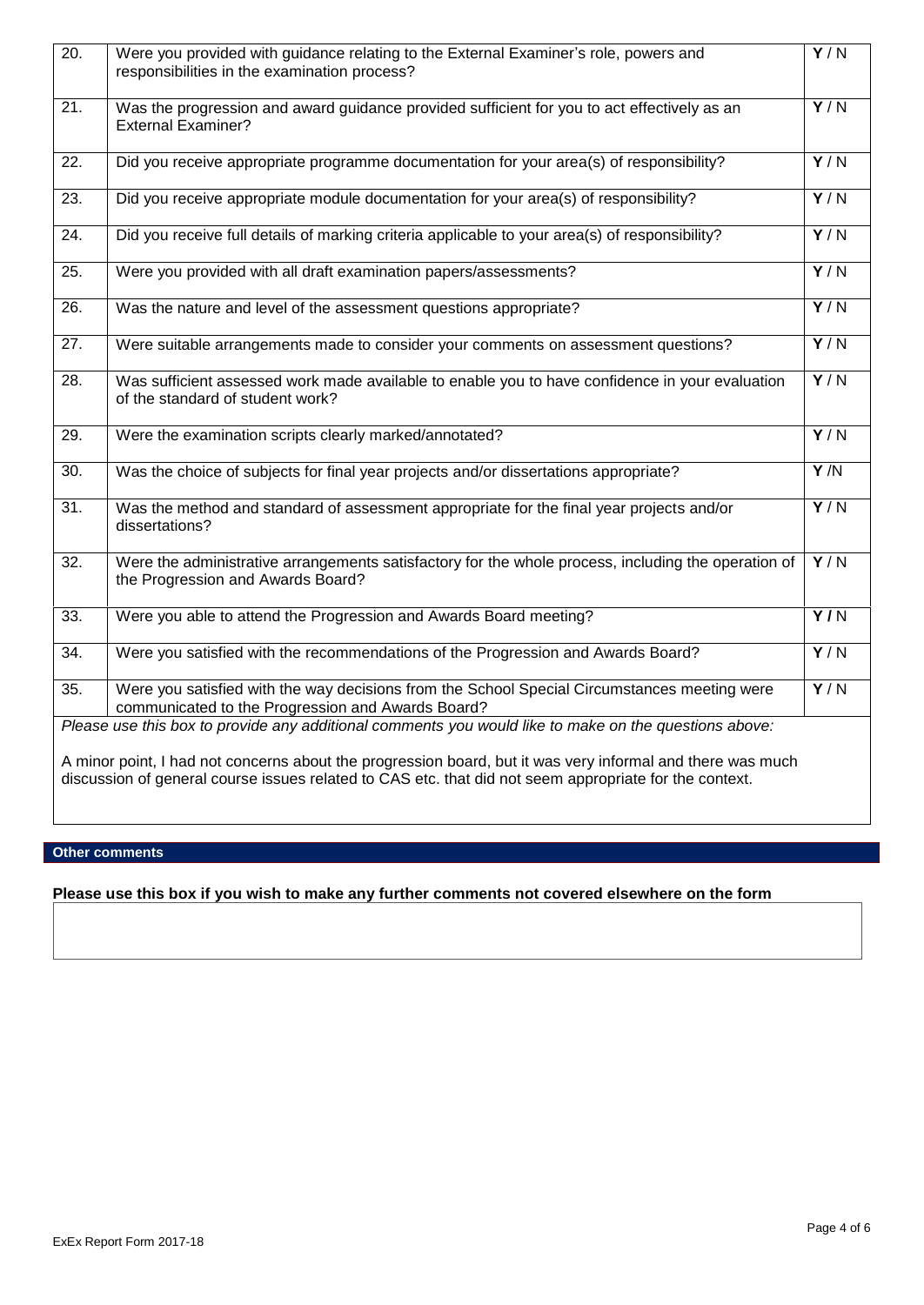| 20.                                                                                                                                                                                                                  | Were you provided with guidance relating to the External Examiner's role, powers and<br>responsibilities in the examination process?              | $\overline{Y/N}$ |
|----------------------------------------------------------------------------------------------------------------------------------------------------------------------------------------------------------------------|---------------------------------------------------------------------------------------------------------------------------------------------------|------------------|
| $\overline{21}$ .                                                                                                                                                                                                    | Was the progression and award guidance provided sufficient for you to act effectively as an<br><b>External Examiner?</b>                          | Y/N              |
| 22.                                                                                                                                                                                                                  | Did you receive appropriate programme documentation for your area(s) of responsibility?                                                           | $\overline{Y/N}$ |
| 23.                                                                                                                                                                                                                  | Did you receive appropriate module documentation for your area(s) of responsibility?                                                              | Y/N              |
| $\overline{24}$ .                                                                                                                                                                                                    | Did you receive full details of marking criteria applicable to your area(s) of responsibility?                                                    | Y/N              |
| 25.                                                                                                                                                                                                                  | Were you provided with all draft examination papers/assessments?                                                                                  | $\overline{Y/N}$ |
| 26.                                                                                                                                                                                                                  | Was the nature and level of the assessment questions appropriate?                                                                                 | $\overline{Y/N}$ |
| $\overline{27}$ .                                                                                                                                                                                                    | Were suitable arrangements made to consider your comments on assessment questions?                                                                | $\overline{Y/N}$ |
| $\overline{28}$ .                                                                                                                                                                                                    | Was sufficient assessed work made available to enable you to have confidence in your evaluation<br>of the standard of student work?               | Y/N              |
| 29.                                                                                                                                                                                                                  | Were the examination scripts clearly marked/annotated?                                                                                            | Y/N              |
| $\overline{30}$ .                                                                                                                                                                                                    | Was the choice of subjects for final year projects and/or dissertations appropriate?                                                              | $\overline{Y/N}$ |
| $\overline{31}$ .                                                                                                                                                                                                    | Was the method and standard of assessment appropriate for the final year projects and/or<br>dissertations?                                        | Y/N              |
| $\overline{32}$ .                                                                                                                                                                                                    | Were the administrative arrangements satisfactory for the whole process, including the operation of<br>the Progression and Awards Board?          | Y/N              |
| $\overline{33}$ .                                                                                                                                                                                                    | Were you able to attend the Progression and Awards Board meeting?                                                                                 | $\overline{Y/N}$ |
| $\overline{34}$ .                                                                                                                                                                                                    | Were you satisfied with the recommendations of the Progression and Awards Board?                                                                  | Y/N              |
| $\overline{35}$ .                                                                                                                                                                                                    | Were you satisfied with the way decisions from the School Special Circumstances meeting were<br>communicated to the Progression and Awards Board? | $\overline{Y/N}$ |
|                                                                                                                                                                                                                      | Please use this box to provide any additional comments you would like to make on the questions above:                                             |                  |
| A minor point, I had not concerns about the progression board, but it was very informal and there was much<br>discussion of general course issues related to CAS etc. that did not seem appropriate for the context. |                                                                                                                                                   |                  |

# **Other comments**

# **Please use this box if you wish to make any further comments not covered elsewhere on the form**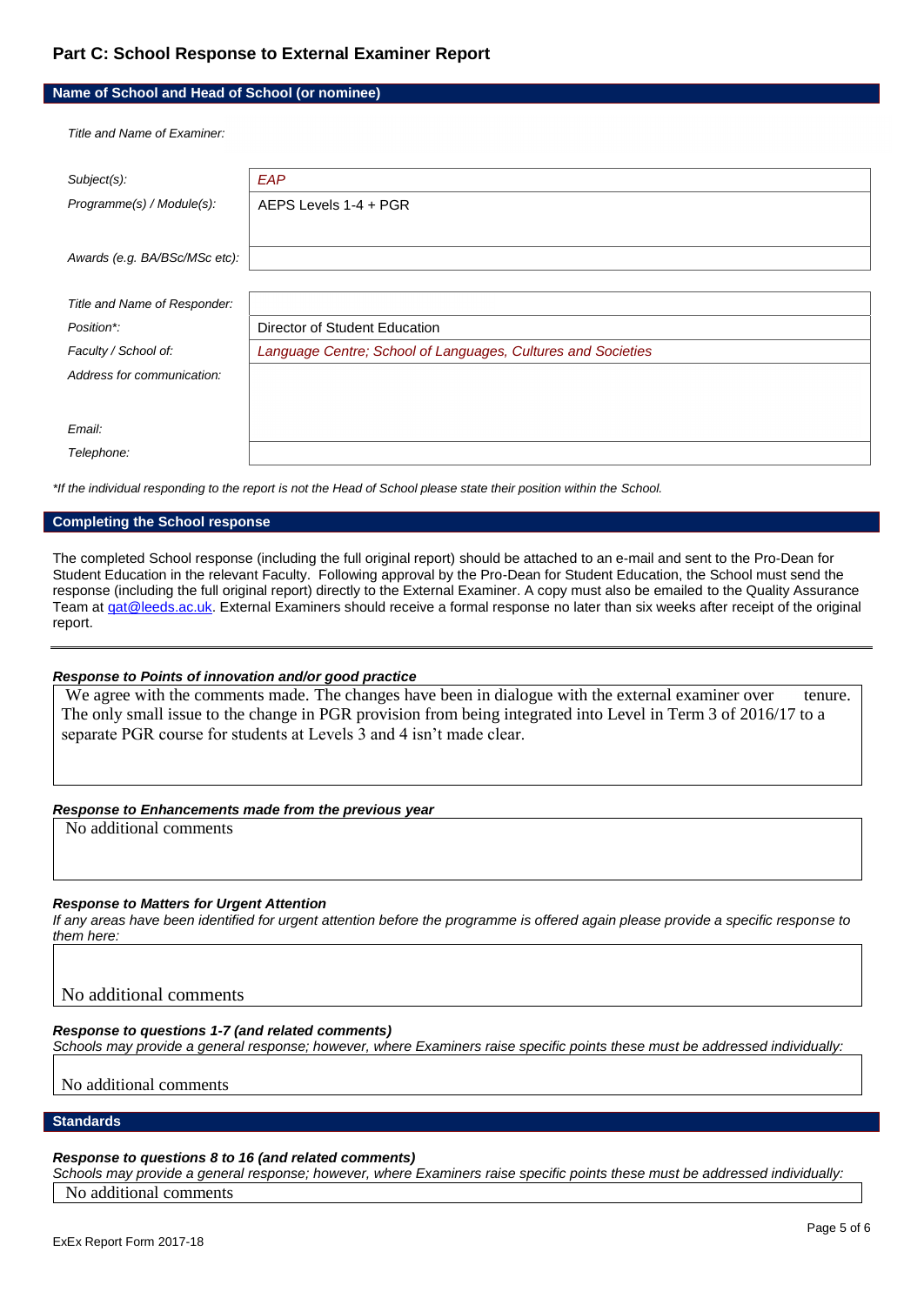# **Part C: School Response to External Examiner Report**

### **Name of School and Head of School (or nominee)**

*Title and Name of Examiner:*

| Subject(s):                   | EAP                                                          |
|-------------------------------|--------------------------------------------------------------|
| Programme(s) / Module(s):     | AEPS Levels 1-4 + PGR                                        |
|                               |                                                              |
| Awards (e.g. BA/BSc/MSc etc): |                                                              |
|                               |                                                              |
| Title and Name of Responder:  |                                                              |
| Position*:                    | Director of Student Education                                |
| Faculty / School of:          | Language Centre; School of Languages, Cultures and Societies |
| Address for communication:    |                                                              |
|                               |                                                              |
| Email:                        |                                                              |
| Telephone:                    |                                                              |

*\*If the individual responding to the report is not the Head of School please state their position within the School.*

#### **Completing the School response**

The completed School response (including the full original report) should be attached to an e-mail and sent to the Pro-Dean for Student Education in the relevant Faculty. Following approval by the Pro-Dean for Student Education, the School must send the response (including the full original report) directly to the External Examiner. A copy must also be emailed to the Quality Assurance Team a[t qat@leeds.ac.uk.](mailto:qat@leeds.ac.uk) External Examiners should receive a formal response no later than six weeks after receipt of the original report.

### *Response to Points of innovation and/or good practice*

We agree with the comments made. The changes have been in dialogue with the external examiner over tenure. The only small issue to the change in PGR provision from being integrated into Level in Term 3 of 2016/17 to a separate PGR course for students at Levels 3 and 4 isn't made clear.

#### *Response to Enhancements made from the previous year*

No additional comments

### *Response to Matters for Urgent Attention*

*If any areas have been identified for urgent attention before the programme is offered again please provide a specific response to them here:*

No additional comments

### *Response to questions 1-7 (and related comments)*

*Schools may provide a general response; however, where Examiners raise specific points these must be addressed individually:*

No additional comments

**Standards**

#### *Response to questions 8 to 16 (and related comments)*

*Schools may provide a general response; however, where Examiners raise specific points these must be addressed individually:* No additional comments